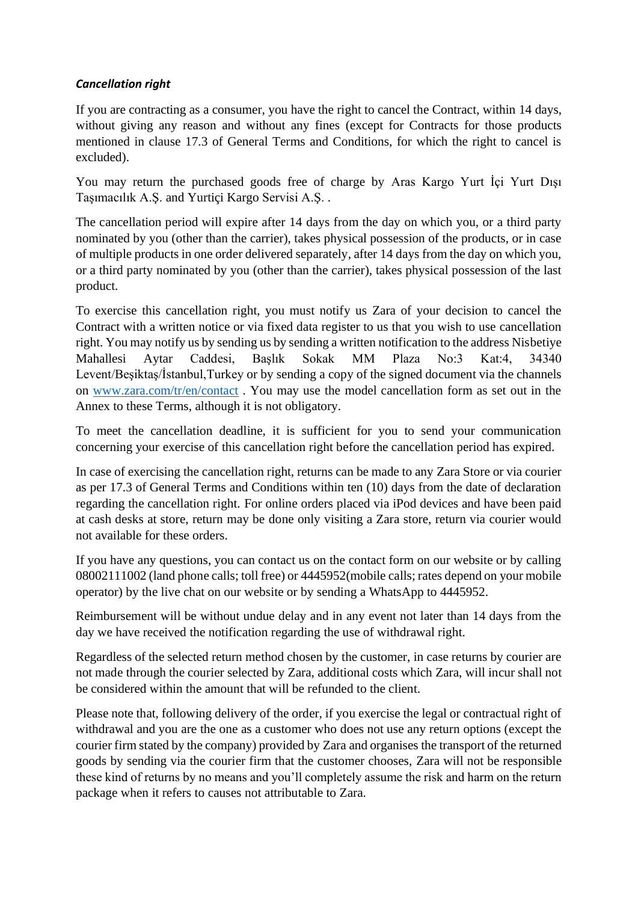## *Cancellation right*

If you are contracting as a consumer, you have the right to cancel the Contract, within 14 days, without giving any reason and without any fines (except for Contracts for those products mentioned in clause 17.3 of General Terms and Conditions, for which the right to cancel is excluded).

You may return the purchased goods free of charge by Aras Kargo Yurt İçi Yurt Dışı Taşımacılık A.Ş. and Yurtiçi Kargo Servisi A.Ş. .

The cancellation period will expire after 14 days from the day on which you, or a third party nominated by you (other than the carrier), takes physical possession of the products, or in case of multiple products in one order delivered separately, after 14 days from the day on which you, or a third party nominated by you (other than the carrier), takes physical possession of the last product.

To exercise this cancellation right, you must notify us Zara of your decision to cancel the Contract with a written notice or via fixed data register to us that you wish to use cancellation right. You may notify us by sending us by sending a written notification to the address Nisbetiye Mahallesi Aytar Caddesi, Başlık Sokak MM Plaza No:3 Kat:4, 34340 Levent/Beşiktaş/İstanbul,Turkey or by sending a copy of the signed document via the channels on [www.zara.com/tr/en/contact](http://www.zara.com/tr/en/contact) . You may use the model cancellation form as set out in the Annex to these Terms, although it is not obligatory.

To meet the cancellation deadline, it is sufficient for you to send your communication concerning your exercise of this cancellation right before the cancellation period has expired.

In case of exercising the cancellation right, returns can be made to any Zara Store or via courier as per 17.3 of General Terms and Conditions within ten (10) days from the date of declaration regarding the cancellation right. For online orders placed via iPod devices and have been paid at cash desks at store, return may be done only visiting a Zara store, return via courier would not available for these orders.

If you have any questions, you can contact us on the contact form on our website or by calling 08002111002 (land phone calls; toll free) or 4445952(mobile calls; rates depend on your mobile operator) by the live chat on our website or by sending a WhatsApp to 4445952.

Reimbursement will be without undue delay and in any event not later than 14 days from the day we have received the notification regarding the use of withdrawal right.

Regardless of the selected return method chosen by the customer, in case returns by courier are not made through the courier selected by Zara, additional costs which Zara, will incur shall not be considered within the amount that will be refunded to the client.

Please note that, following delivery of the order, if you exercise the legal or contractual right of withdrawal and you are the one as a customer who does not use any return options (except the courier firm stated by the company) provided by Zara and organises the transport of the returned goods by sending via the courier firm that the customer chooses, Zara will not be responsible these kind of returns by no means and you'll completely assume the risk and harm on the return package when it refers to causes not attributable to Zara.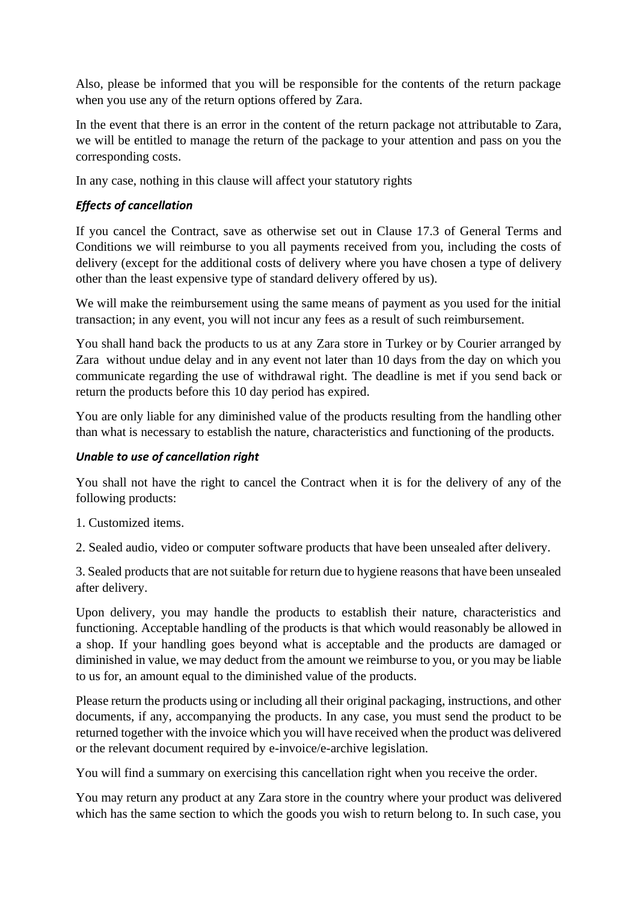Also, please be informed that you will be responsible for the contents of the return package when you use any of the return options offered by Zara.

In the event that there is an error in the content of the return package not attributable to Zara, we will be entitled to manage the return of the package to your attention and pass on you the corresponding costs.

In any case, nothing in this clause will affect your statutory rights

## *Effects of cancellation*

If you cancel the Contract, save as otherwise set out in Clause 17.3 of General Terms and Conditions we will reimburse to you all payments received from you, including the costs of delivery (except for the additional costs of delivery where you have chosen a type of delivery other than the least expensive type of standard delivery offered by us).

We will make the reimbursement using the same means of payment as you used for the initial transaction; in any event, you will not incur any fees as a result of such reimbursement.

You shall hand back the products to us at any Zara store in Turkey or by Courier arranged by Zara without undue delay and in any event not later than 10 days from the day on which you communicate regarding the use of withdrawal right. The deadline is met if you send back or return the products before this 10 day period has expired.

You are only liable for any diminished value of the products resulting from the handling other than what is necessary to establish the nature, characteristics and functioning of the products.

## *Unable to use of cancellation right*

You shall not have the right to cancel the Contract when it is for the delivery of any of the following products:

1. Customized items.

2. Sealed audio, video or computer software products that have been unsealed after delivery.

3. Sealed products that are not suitable for return due to hygiene reasons that have been unsealed after delivery.

Upon delivery, you may handle the products to establish their nature, characteristics and functioning. Acceptable handling of the products is that which would reasonably be allowed in a shop. If your handling goes beyond what is acceptable and the products are damaged or diminished in value, we may deduct from the amount we reimburse to you, or you may be liable to us for, an amount equal to the diminished value of the products.

Please return the products using or including all their original packaging, instructions, and other documents, if any, accompanying the products. In any case, you must send the product to be returned together with the invoice which you will have received when the product was delivered or the relevant document required by e-invoice/e-archive legislation.

You will find a summary on exercising this cancellation right when you receive the order.

You may return any product at any Zara store in the country where your product was delivered which has the same section to which the goods you wish to return belong to. In such case, you